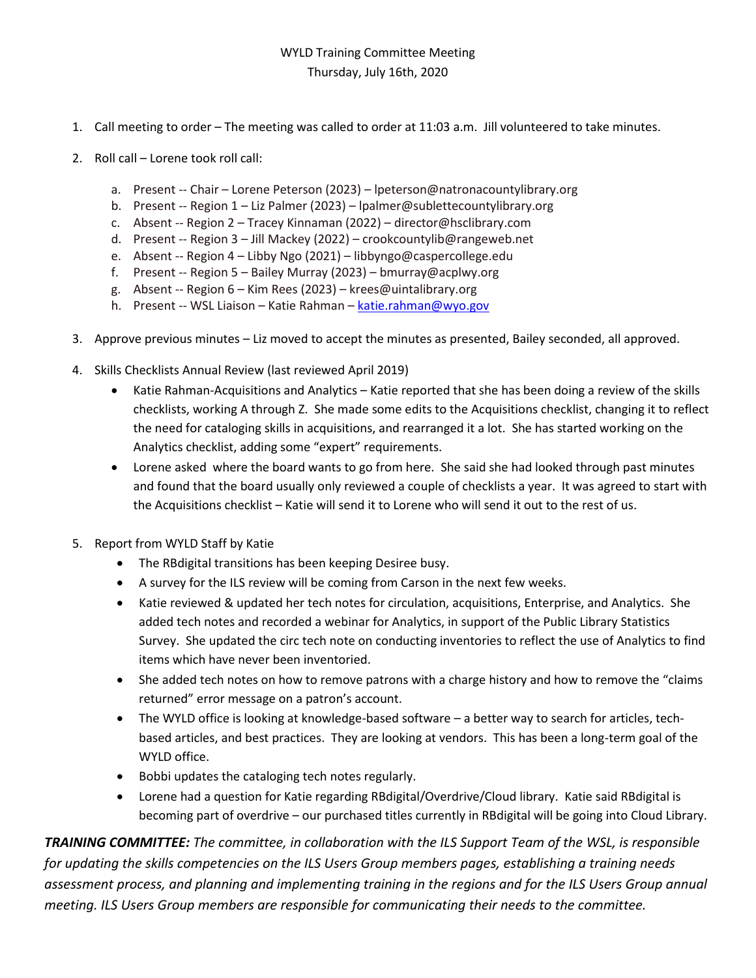## WYLD Training Committee Meeting Thursday, July 16th, 2020

- 1. Call meeting to order The meeting was called to order at 11:03 a.m. Jill volunteered to take minutes.
- 2. Roll call Lorene took roll call:
	- a. Present -- Chair Lorene Peterson (2023) lpeterson@natronacountylibrary.org
	- b. Present -- Region 1 Liz Palmer (2023) lpalmer@sublettecountylibrary.org
	- c. Absent -- Region 2 Tracey Kinnaman (2022) director@hsclibrary.com
	- d. Present -- Region 3 Jill Mackey (2022) crookcountylib@rangeweb.net
	- e. Absent -- Region 4 Libby Ngo (2021) libbyngo@caspercollege.edu
	- f. Present -- Region 5 Bailey Murray (2023) bmurray@acplwy.org
	- g. Absent -- Region 6 Kim Rees (2023) krees@uintalibrary.org
	- h. Present -- WSL Liaison Katie Rahman [katie.rahman@wyo.gov](mailto:katie.rahman@wyo.gov)
- 3. Approve previous minutes Liz moved to accept the minutes as presented, Bailey seconded, all approved.
- 4. Skills Checklists Annual Review (last reviewed April 2019)
	- Katie Rahman-Acquisitions and Analytics Katie reported that she has been doing a review of the skills checklists, working A through Z. She made some edits to the Acquisitions checklist, changing it to reflect the need for cataloging skills in acquisitions, and rearranged it a lot. She has started working on the Analytics checklist, adding some "expert" requirements.
	- Lorene asked where the board wants to go from here. She said she had looked through past minutes and found that the board usually only reviewed a couple of checklists a year. It was agreed to start with the Acquisitions checklist – Katie will send it to Lorene who will send it out to the rest of us.
- 5. Report from WYLD Staff by Katie
	- The RBdigital transitions has been keeping Desiree busy.
	- A survey for the ILS review will be coming from Carson in the next few weeks.
	- Katie reviewed & updated her tech notes for circulation, acquisitions, Enterprise, and Analytics. She added tech notes and recorded a webinar for Analytics, in support of the Public Library Statistics Survey. She updated the circ tech note on conducting inventories to reflect the use of Analytics to find items which have never been inventoried.
	- She added tech notes on how to remove patrons with a charge history and how to remove the "claims" returned" error message on a patron's account.
	- The WYLD office is looking at knowledge-based software a better way to search for articles, techbased articles, and best practices. They are looking at vendors. This has been a long-term goal of the WYLD office.
	- Bobbi updates the cataloging tech notes regularly.
	- Lorene had a question for Katie regarding RBdigital/Overdrive/Cloud library. Katie said RBdigital is becoming part of overdrive – our purchased titles currently in RBdigital will be going into Cloud Library.

*TRAINING COMMITTEE: The committee, in collaboration with the ILS Support Team of the WSL, is responsible for updating the skills competencies on the ILS Users Group members pages, establishing a training needs assessment process, and planning and implementing training in the regions and for the ILS Users Group annual meeting. ILS Users Group members are responsible for communicating their needs to the committee.*